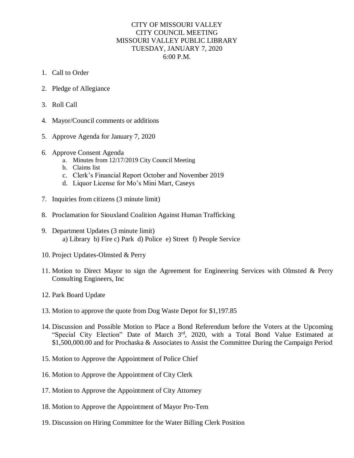## CITY OF MISSOURI VALLEY CITY COUNCIL MEETING MISSOURI VALLEY PUBLIC LIBRARY TUESDAY, JANUARY 7, 2020 6:00 P.M.

- 1. Call to Order
- 2. Pledge of Allegiance
- 3. Roll Call
- 4. Mayor/Council comments or additions
- 5. Approve Agenda for January 7, 2020
- 6. Approve Consent Agenda
	- a. Minutes from 12/17/2019 City Council Meeting
	- b. Claims list
	- c. Clerk's Financial Report October and November 2019
	- d. Liquor License for Mo's Mini Mart, Caseys
- 7. Inquiries from citizens (3 minute limit)
- 8. Proclamation for Siouxland Coalition Against Human Trafficking
- 9. Department Updates (3 minute limit) a) Library b) Fire c) Park d) Police e) Street f) People Service
- 10. Project Updates-Olmsted & Perry
- 11. Motion to Direct Mayor to sign the Agreement for Engineering Services with Olmsted & Perry Consulting Engineers, Inc
- 12. Park Board Update
- 13. Motion to approve the quote from Dog Waste Depot for \$1,197.85
- 14. Discussion and Possible Motion to Place a Bond Referendum before the Voters at the Upcoming "Special City Election" Date of March 3rd, 2020, with a Total Bond Value Estimated at \$1,500,000.00 and for Prochaska & Associates to Assist the Committee During the Campaign Period
- 15. Motion to Approve the Appointment of Police Chief
- 16. Motion to Approve the Appointment of City Clerk
- 17. Motion to Approve the Appointment of City Attorney
- 18. Motion to Approve the Appointment of Mayor Pro-Tem
- 19. Discussion on Hiring Committee for the Water Billing Clerk Position